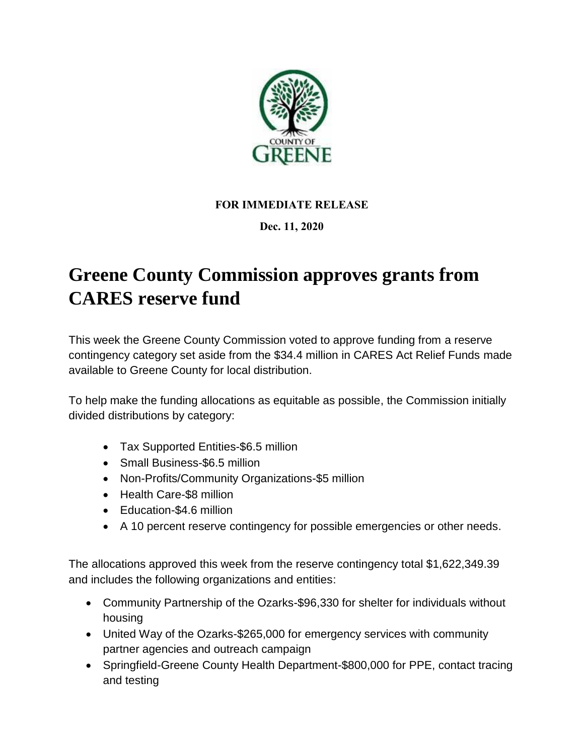

## **FOR IMMEDIATE RELEASE**

## **Dec. 11, 2020**

## **Greene County Commission approves grants from CARES reserve fund**

This week the Greene County Commission voted to approve funding from a reserve contingency category set aside from the \$34.4 million in CARES Act Relief Funds made available to Greene County for local distribution.

To help make the funding allocations as equitable as possible, the Commission initially divided distributions by category:

- Tax Supported Entities-\$6.5 million
- Small Business-\$6.5 million
- Non-Profits/Community Organizations-\$5 million
- Health Care-\$8 million
- Education-\$4.6 million
- A 10 percent reserve contingency for possible emergencies or other needs.

The allocations approved this week from the reserve contingency total \$1,622,349.39 and includes the following organizations and entities:

- Community Partnership of the Ozarks-\$96,330 for shelter for individuals without housing
- United Way of the Ozarks-\$265,000 for emergency services with community partner agencies and outreach campaign
- Springfield-Greene County Health Department-\$800,000 for PPE, contact tracing and testing